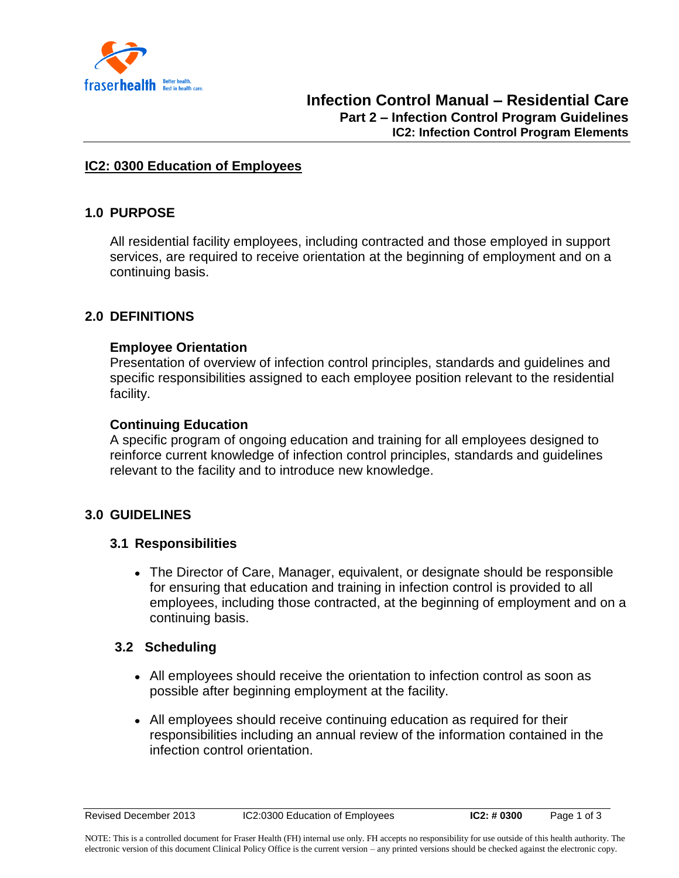

### **IC2: 0300 Education of Employees**

## **1.0 PURPOSE**

All residential facility employees, including contracted and those employed in support services, are required to receive orientation at the beginning of employment and on a continuing basis.

### **2.0 DEFINITIONS**

#### **Employee Orientation**

Presentation of overview of infection control principles, standards and guidelines and specific responsibilities assigned to each employee position relevant to the residential facility.

#### **Continuing Education**

A specific program of ongoing education and training for all employees designed to reinforce current knowledge of infection control principles, standards and guidelines relevant to the facility and to introduce new knowledge.

### **3.0 GUIDELINES**

### **3.1 Responsibilities**

The Director of Care, Manager, equivalent, or designate should be responsible for ensuring that education and training in infection control is provided to all employees, including those contracted, at the beginning of employment and on a continuing basis.

### **3.2 Scheduling**

- All employees should receive the orientation to infection control as soon as possible after beginning employment at the facility.
- All employees should receive continuing education as required for their responsibilities including an annual review of the information contained in the infection control orientation.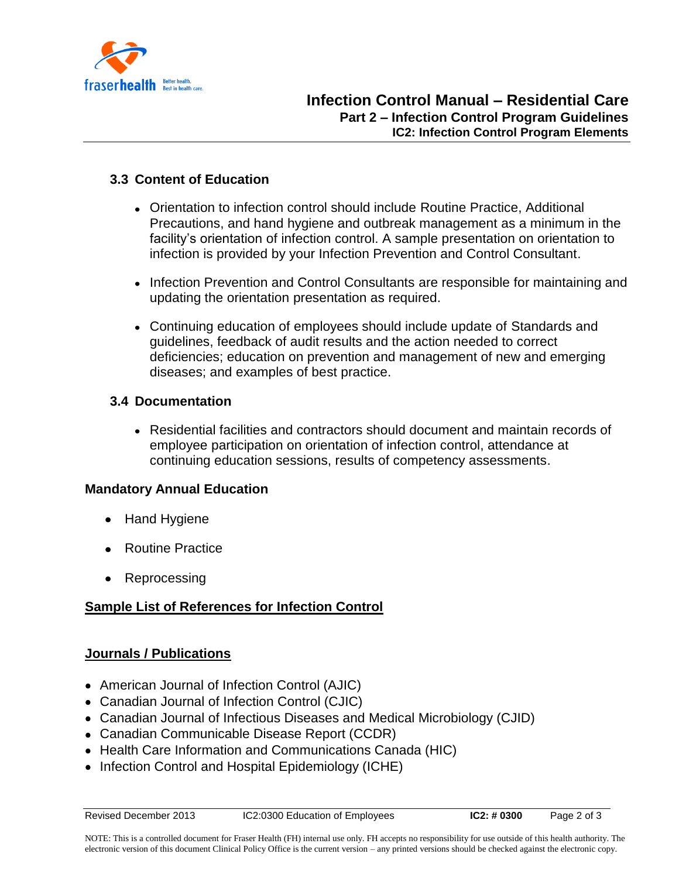

## **3.3 Content of Education**

- Orientation to infection control should include Routine Practice, Additional Precautions, and hand hygiene and outbreak management as a minimum in the facility's orientation of infection control. A sample presentation on orientation to infection is provided by your Infection Prevention and Control Consultant.
- Infection Prevention and Control Consultants are responsible for maintaining and updating the orientation presentation as required.
- Continuing education of employees should include update of Standards and guidelines, feedback of audit results and the action needed to correct deficiencies; education on prevention and management of new and emerging diseases; and examples of best practice.

## **3.4 Documentation**

Residential facilities and contractors should document and maintain records of employee participation on orientation of infection control, attendance at continuing education sessions, results of competency assessments.

### **Mandatory Annual Education**

- Hand Hygiene
- Routine Practice
- Reprocessing

# **Sample List of References for Infection Control**

### **Journals / Publications**

- American Journal of Infection Control (AJIC)
- Canadian Journal of Infection Control (CJIC)
- Canadian Journal of Infectious Diseases and Medical Microbiology (CJID)
- Canadian Communicable Disease Report (CCDR)
- Health Care Information and Communications Canada (HIC)
- Infection Control and Hospital Epidemiology (ICHE)